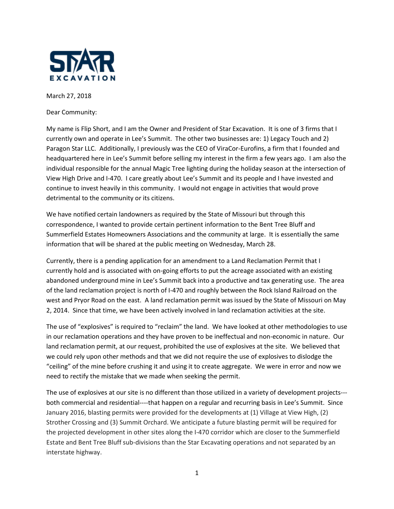

March 27, 2018

Dear Community:

My name is Flip Short, and I am the Owner and President of Star Excavation. It is one of 3 firms that I currently own and operate in Lee's Summit. The other two businesses are: 1) Legacy Touch and 2) Paragon Star LLC. Additionally, I previously was the CEO of ViraCor-Eurofins, a firm that I founded and headquartered here in Lee's Summit before selling my interest in the firm a few years ago. I am also the individual responsible for the annual Magic Tree lighting during the holiday season at the intersection of View High Drive and I-470. I care greatly about Lee's Summit and its people and I have invested and continue to invest heavily in this community. I would not engage in activities that would prove detrimental to the community or its citizens.

We have notified certain landowners as required by the State of Missouri but through this correspondence, I wanted to provide certain pertinent information to the Bent Tree Bluff and Summerfield Estates Homeowners Associations and the community at large. It is essentially the same information that will be shared at the public meeting on Wednesday, March 28.

Currently, there is a pending application for an amendment to a Land Reclamation Permit that I currently hold and is associated with on-going efforts to put the acreage associated with an existing abandoned underground mine in Lee's Summit back into a productive and tax generating use. The area of the land reclamation project is north of I-470 and roughly between the Rock Island Railroad on the west and Pryor Road on the east. A land reclamation permit was issued by the State of Missouri on May 2, 2014. Since that time, we have been actively involved in land reclamation activities at the site.

The use of "explosives" is required to "reclaim" the land. We have looked at other methodologies to use in our reclamation operations and they have proven to be ineffectual and non-economic in nature. Our land reclamation permit, at our request, prohibited the use of explosives at the site. We believed that we could rely upon other methods and that we did not require the use of explosives to dislodge the "ceiling" of the mine before crushing it and using it to create aggregate. We were in error and now we need to rectify the mistake that we made when seeking the permit.

The use of explosives at our site is no different than those utilized in a variety of development projects-- both commercial and residential----that happen on a regular and recurring basis in Lee's Summit. Since January 2016, blasting permits were provided for the developments at (1) Village at View High, (2) Strother Crossing and (3) Summit Orchard. We anticipate a future blasting permit will be required for the projected development in other sites along the I-470 corridor which are closer to the Summerfield Estate and Bent Tree Bluff sub-divisions than the Star Excavating operations and not separated by an interstate highway.